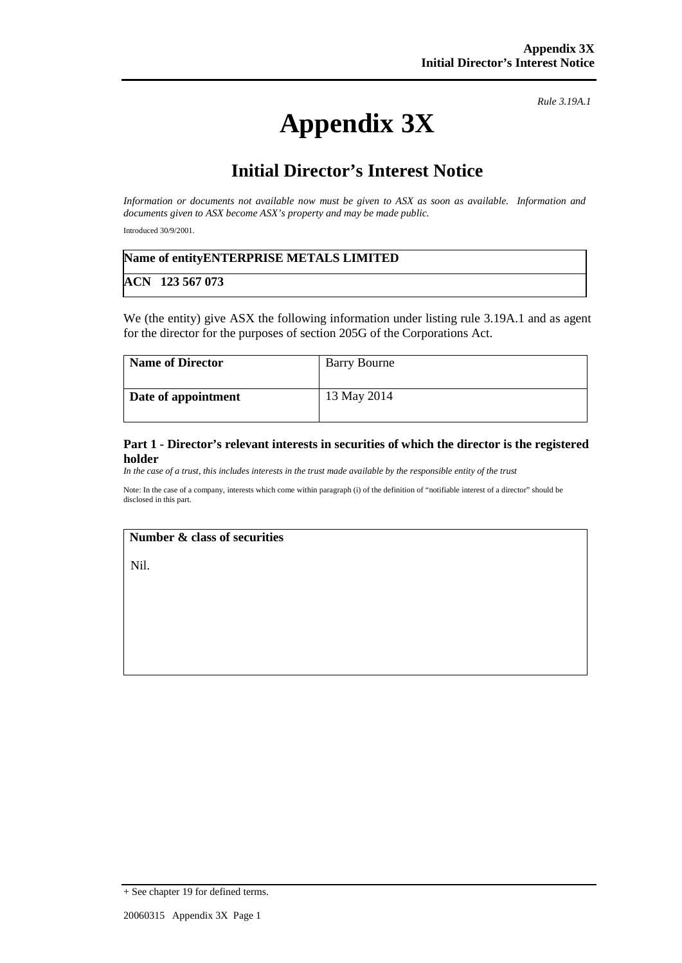# **Appendix 3X**

*Rule 3.19A.1*

## **Initial Director's Interest Notice**

*Information or documents not available now must be given to ASX as soon as available. Information and documents given to ASX become ASX's property and may be made public.*

Introduced 30/9/2001.

| Name of entity ENTERPRISE METALS LIMITED |                 |  |
|------------------------------------------|-----------------|--|
|                                          | ACN 123 567 073 |  |

We (the entity) give ASX the following information under listing rule 3.19A.1 and as agent for the director for the purposes of section 205G of the Corporations Act.

| <b>Name of Director</b> | <b>Barry Bourne</b> |
|-------------------------|---------------------|
| Date of appointment     | 13 May 2014         |

#### **Part 1 - Director's relevant interests in securities of which the director is the registered holder**

*In the case of a trust, this includes interests in the trust made available by the responsible entity of the trust*

Note: In the case of a company, interests which come within paragraph (i) of the definition of "notifiable interest of a director" should be disclosed in this part.

#### **Number & class of securities**

Nil.

<sup>+</sup> See chapter 19 for defined terms.